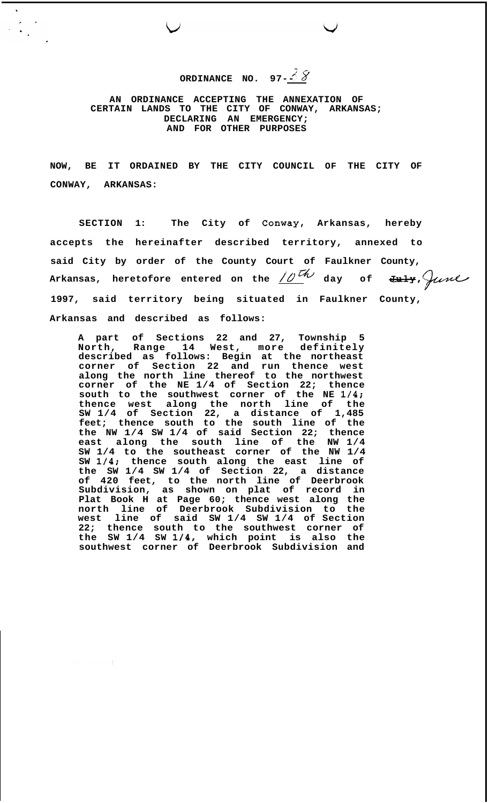**ORDINANCE NO.** 97- $\frac{3}{2}8$ 

**AN ORDINANCE ACCEPTING THE ANNEXATION OF CERTAIN LANDS TO THE CITY OF CONWAY, ARKANSAS; DECLARING AN EMERGENCY; AND FOR OTHER PURPOSES** 

**NOW, BE IT ORDAINED BY THE CITY COUNCIL OF THE CITY OF CONWAY, ARKANSAS:** 

**SECTION 1: The City of Conway, Arkansas, hereby accepts the hereinafter described territory, annexed to said City by order of the County Court of Faulkner County,**  Arkansas, heretofore entered on the  $\frac{10^{th}}{4}$  day of  $\frac{10^{th}}{4}$ **1997, said territory being situated in Faulkner County, Arkansas and described as follows:** 

**A part of Sections 22 and 27, Township 5 North, Range 14 West, more definitely described as follows: Begin at the northeast corner of Section 22 and run thence west along the north line thereof to the northwest corner of the NE 1/4 of Section 22; thence south to the southwest corner of the NE 1/4; thence west along the north line of the SW 1/4 of Section 22, a distance of 1,485 feet; thence south to the south line of the the NW 1/4 SW 1/4 of said Section 22; thence east along the south line of the NW 1/4 SW 1/4 to the southeast corner of the NW 1/4 SW 1/4; thence south along the east line of the SW 1/4 SW 1/4 of Section 22, a distance of 420 feet, to the north line of Deerbrook Subdivision, as shown on plat of record in Plat Book H at Page 60; thence west along the north line of Deerbrook Subdivision to the west line of said SW 1/4 SW 1/4 of Section 22; thence south to the southwest corner of the SW 1/4 SW 1/4, which point is also the southwest corner of Deerbrook Subdivision and**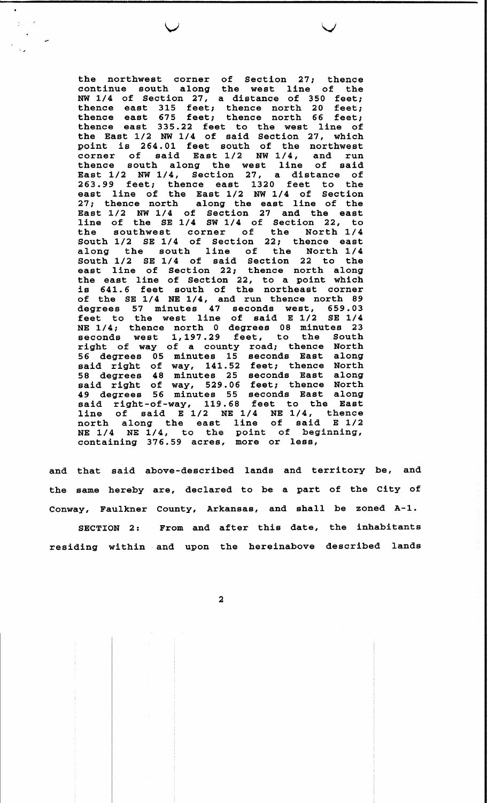the northwest corner of Section 27; thence<br>continue south along the west line of the NW 1/4 of Section 27, a distance of 350 feet;<br>thence east 315 feet; thence north 20 feet;<br>thence east 675 feet; thence north 66 feet;<br>thence east 335.22 feet to the west line of the East 1/2 NW 1/4 of said Section 27, which point is 264.01 feet south of the northwest<br>corner of said East  $1/2$  NW  $1/4$ , and run<br>thence south along the west line of said<br>East  $1/2$  NW  $1/4$ , Section 27, a distance of<br>263.99 feet; thence east 1320 feet to the<br>eas 27; thence north along the east line of the<br>East  $1/2$  NW  $1/4$  of Section 27 and the east<br>line of the SE 1/4 SW 1/4 of Section 22, to<br>the southwest corner of the North 1/4<br>South 1/2 SE 1/4 of Section 22; thence east<br>alon east line of Section 22; thence north along the east line of section 22, thence north along<br>the east line of Section 22, to a point which<br>is 641.6 feet south of the northeast corner<br>of the SE 1/4 NE 1/4, and run thence north 89<br>degrees 57 minutes 47 seconds west, 6 NE 1/4; thence north 0 degrees 08 minutes 23<br>seconds west 1,197.29 feet, to the South<br>right of way of a county road; thence North<br>56 degrees 05 minutes 15 seconds East along said right of way, 141.52 feet; thence North<br>58 degrees 48 minutes 25 seconds East along<br>said right of way, 529.06 feet; thence North<br>49 degrees 56 minutes 55 seconds East along<br>said right-of-way, 119.68 feet to the East line of said E 1/2 NE 1/4 NE 1/4, thence<br>north along the east line of said E 1/2<br>NE 1/4 NE 1/4, to the point of beginning, containing 376.59 acres, more or less,

 $\mathbb{C}$  .

and that said above-described lands and territory be, and the same hereby are, declared to be a part of the City of Conway, Faulkner County, Arkansas, and shall be zoned A-1.

SECTION 2: From and after this date, the inhabitants residing within and upon the hereinabove described lands

 $\overline{\mathbf{2}}$